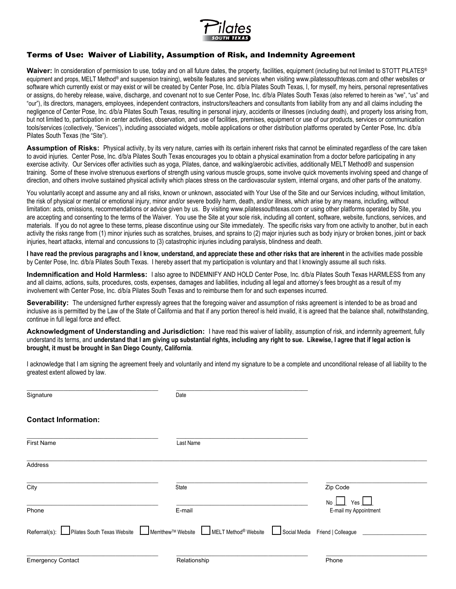

## Terms of Use: Waiver of Liability, Assumption of Risk, and Indemnity Agreement

Waiver: In consideration of permission to use, today and on all future dates, the property, facilities, equipment (including but not limited to STOTT PILATES<sup>®</sup> equipment and props, MELT Method<sup>®</sup> and suspension training), website features and services when visiting www.pilatessouthtexas.com and other websites or software which currently exist or may exist or will be created by Center Pose, Inc. d/b/a Pilates South Texas, I, for myself, my heirs, personal representatives or assigns, do hereby release, waive, discharge, and covenant not to sue Center Pose, Inc. d/b/a Pilates South Texas (also referred to herein as "we", "us" and "our"), its directors, managers, employees, independent contractors, instructors/teachers and consultants from liability from any and all claims including the negligence of Center Pose, Inc. d/b/a Pilates South Texas, resulting in personal injury, accidents or illnesses (including death), and property loss arising from, but not limited to, participation in center activities, observation, and use of facilities, premises, equipment or use of our products, services or communication tools/services (collectively, "Services"), including associated widgets, mobile applications or other distribution platforms operated by Center Pose, Inc. d/b/a Pilates South Texas (the "Site").

Assumption of Risks: Physical activity, by its very nature, carries with its certain inherent risks that cannot be eliminated regardless of the care taken to avoid injuries. Center Pose, Inc. d/b/a Pilates South Texas encourages you to obtain a physical examination from a doctor before participating in any exercise activity. Our Services offer activities such as yoga, Pilates, dance, and walking/aerobic activities, additionally MELT Method® and suspension training. Some of these involve strenuous exertions of strength using various muscle groups, some involve quick movements involving speed and change of direction, and others involve sustained physical activity which places stress on the cardiovascular system, internal organs, and other parts of the anatomy.

You voluntarily accept and assume any and all risks, known or unknown, associated with Your Use of the Site and our Services including, without limitation, the risk of physical or mental or emotional injury, minor and/or severe bodily harm, death, and/or illness, which arise by any means, including, without limitation: acts, omissions, recommendations or advice given by us. By visiting www.pilatessouthtexas.com or using other platforms operated by Site, you are accepting and consenting to the terms of the Waiver. You use the Site at your sole risk, including all content, software, website, functions, services, and materials. If you do not agree to these terms, please discontinue using our Site immediately. The specific risks vary from one activity to another, but in each activity the risks range from (1) minor injuries such as scratches, bruises, and sprains to (2) major injuries such as body injury or broken bones, joint or back injuries, heart attacks, internal and concussions to (3) catastrophic injuries including paralysis, blindness and death.

**I have read the previous paragraphs and I know, understand, and appreciate these and other risks that are inherent** in the activities made possible by Center Pose, Inc. d/b/a Pilates South Texas. I hereby assert that my participation is voluntary and that I knowingly assume all such risks.

**Indemnification and Hold Harmless:** I also agree to INDEMNIFY AND HOLD Center Pose, Inc. d/b/a Pilates South Texas HARMLESS from any and all claims, actions, suits, procedures, costs, expenses, damages and liabilities, including all legal and attorney's fees brought as a result of my involvement with Center Pose, Inc. d/b/a Pilates South Texas and to reimburse them for and such expenses incurred.

**Severability:** The undersigned further expressly agrees that the foregoing waiver and assumption of risks agreement is intended to be as broad and inclusive as is permitted by the Law of the State of California and that if any portion thereof is held invalid, it is agreed that the balance shall, notwithstanding, continue in full legal force and effect.

**Acknowledgment of Understanding and Jurisdiction:** I have read this waiver of liability, assumption of risk, and indemnity agreement, fully understand its terms, and **understand that I am giving up substantial rights, including any right to sue. Likewise, I agree that if legal action is brought, it must be brought in San Diego County, California**.

I acknowledge that I am signing the agreement freely and voluntarily and intend my signature to be a complete and unconditional release of all liability to the greatest extent allowed by law.

| Signature                                | Date                                                                                |                                        |
|------------------------------------------|-------------------------------------------------------------------------------------|----------------------------------------|
| <b>Contact Information:</b>              |                                                                                     |                                        |
| <b>First Name</b>                        | Last Name                                                                           |                                        |
| Address                                  |                                                                                     |                                        |
| City                                     | State                                                                               | Zip Code                               |
| Phone                                    | E-mail                                                                              | No  <br>Yes  <br>E-mail my Appointment |
| Referral(s): Pilates South Texas Website | ■ Merrithew <sup>™</sup> Website ■ MELT Method <sup>®</sup> Website<br>Social Media | Friend   Colleague                     |
| <b>Emergency Contact</b>                 | Relationship                                                                        | Phone                                  |